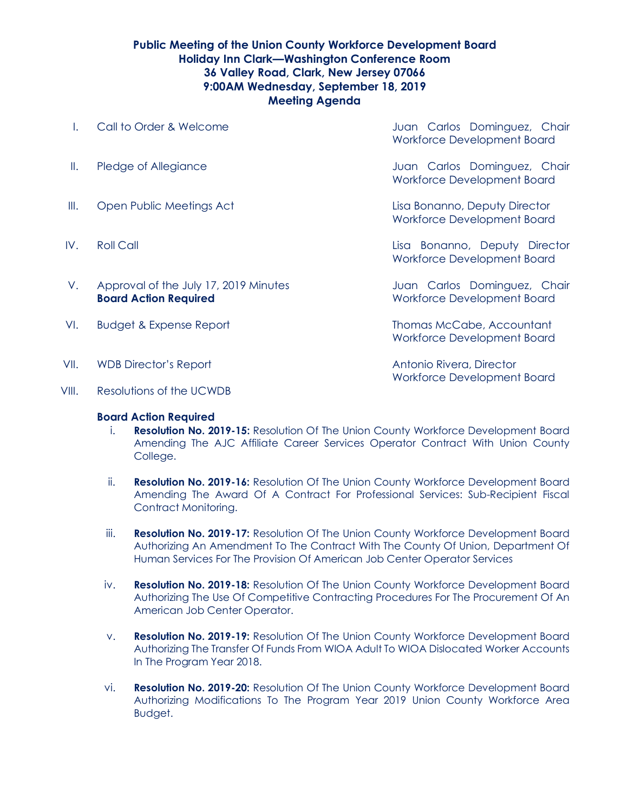## **Public Meeting of the Union County Workforce Development Board Holiday Inn Clark—Washington Conference Room 36 Valley Road, Clark, New Jersey 07066 9:00AM Wednesday, September 18, 2019 Meeting Agenda**

- I. Call to Order & Welcome **State Accompany** Juan Carlos Dominguez, Chair Workforce Development Board II. Pledge of Allegiance **II. In the Carlos Dominguez**, Chair Workforce Development Board III. Open Public Meetings Act Lisa Bonanno, Deputy Director Workforce Development Board IV. Roll Call Lisa Bonanno, Deputy Director Workforce Development Board V. Approval of the July 17, 2019 Minutes **State State August 2018** Juan Carlos Dominguez, Chair **Board Action Required** Morkforce Development Board VI. Budget & Expense Report Thomas McCabe, Accountant Workforce Development Board VII. WDB Director's Report **Antonio Rivera, Director Antonio Rivera, Director**
- VIII. Resolutions of the UCWDB

## **Board Action Required**

i. **Resolution No. 2019-15:** Resolution Of The Union County Workforce Development Board Amending The AJC Affiliate Career Services Operator Contract With Union County College.

Workforce Development Board

- ii. **Resolution No. 2019-16:** Resolution Of The Union County Workforce Development Board Amending The Award Of A Contract For Professional Services: Sub-Recipient Fiscal Contract Monitoring.
- iii. **Resolution No. 2019-17:** Resolution Of The Union County Workforce Development Board Authorizing An Amendment To The Contract With The County Of Union, Department Of Human Services For The Provision Of American Job Center Operator Services
- iv. **Resolution No. 2019-18:** Resolution Of The Union County Workforce Development Board Authorizing The Use Of Competitive Contracting Procedures For The Procurement Of An American Job Center Operator.
- v. **Resolution No. 2019-19:** Resolution Of The Union County Workforce Development Board Authorizing The Transfer Of Funds From WIOA Adult To WIOA Dislocated Worker Accounts In The Program Year 2018.
- vi. **Resolution No. 2019-20:** Resolution Of The Union County Workforce Development Board Authorizing Modifications To The Program Year 2019 Union County Workforce Area Budget.